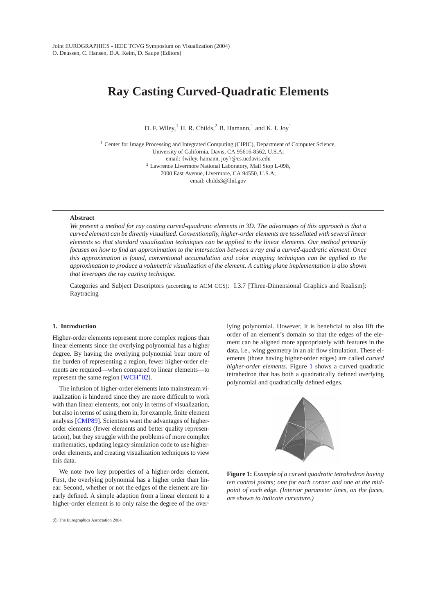# <span id="page-0-1"></span>**Ray Casting Curved-Quadratic Elements**

D. F. Wiley, <sup>1</sup> H. R. Childs,  ${}^{2}$  B. Hamann, <sup>1</sup> and K. I. Joy<sup>1</sup>

<sup>1</sup> Center for Image Processing and Integrated Computing (CIPIC), Department of Computer Science, University of California, Davis, CA 95616-8562, U.S.A; email: {wiley, hamann, joy}@cs.ucdavis.edu <sup>2</sup> Lawrence Livermore National Laboratory, Mail Stop L-098, 7000 East Avenue, Livermore, CA 94550, U.S.A; email: childs3@llnl.gov

#### **Abstract**

*We present a method for ray casting curved-quadratic elements in 3D. The advantages of this approach is that a curved element can be directly visualized. Conventionally, higher-order elements are tessellated with several linear elements so that standard visualization techniques can be applied to the linear elements. Our method primarily focuses on how to find an approximation to the intersection between a ray and a curved-quadratic element. Once this approximation is found, conventional accumulation and color mapping techniques can be applied to the approximation to produce a volumetric visualization of the element. A cutting plane implementation is also shown that leverages the ray casting technique.*

Categories and Subject Descriptors (according to ACM CCS): I.3.7 [Three-Dimensional Graphics and Realism]: Raytracing

## **1. Introduction**

Higher-order elements represent more complex regions than linear elements since the overlying polynomial has a higher degree. By having the overlying polynomial bear more of the burden of representing a region, fewer higher-order elements are required—when compared to linear elements—to represent the same region [\[WCH](#page-8-0)∗02].

The infusion of higher-order elements into mainstream visualization is hindered since they are more difficult to work with than linear elements, not only in terms of visualization, but also in terms of using them in, for example, finite element analysis [\[CMP89\]](#page-8-1). Scientists want the advantages of higherorder elements (fewer elements and better quality representation), but they struggle with the problems of more complex mathematics, updating legacy simulation code to use higherorder elements, and creating visualization techniques to view this data.

We note two key properties of a higher-order element. First, the overlying polynomial has a higher order than linear. Second, whether or not the edges of the element are linearly defined. A simple adaption from a linear element to a higher-order element is to only raise the degree of the overlying polynomial. However, it is beneficial to also lift the order of an element's domain so that the edges of the element can be aligned more appropriately with features in the data, i.e., wing geometry in an air flow simulation. These elements (those having higher-order edges) are called *curved higher-order elements*. Figure [1](#page-0-0) shows a curved quadratic tetrahedron that has both a quadratically defined overlying polynomial and quadratically defined edges.



<span id="page-0-0"></span>**Figure 1:** *Example of a curved quadratic tetrahedron having ten control points; one for each corner and one at the midpoint of each edge. (Interior parameter lines, on the faces, are shown to indicate curvature.)*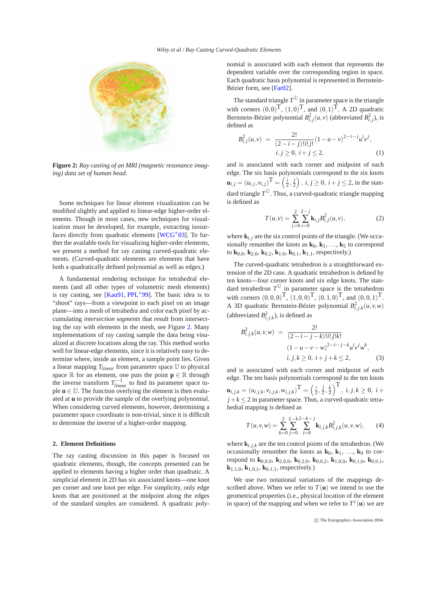

<span id="page-1-0"></span>**Figure 2:** *Ray casting of an MRI (magnetic resonance imaging) data set of human head.*

Some techniques for linear element visualization can be modified slightly and applied to linear-edge higher-order elements. Though in most cases, new techniques for visualization must be developed, for example, extracting isosur-faces directly from quadratic elements [\[WCG](#page-8-2)<sup>\*03]</sup>. To further the available tools for visualizing higher-order elements, we present a method for ray casting curved-quadratic elements. (Curved-quadratic elements are elements that have both a quadratically defined polynomial as well as edges.)

A fundamental rendering technique for tetrahedral elements (and all other types of volumetric mesh elements) is ray casting, see [\[Kau91,](#page-8-3) [PPL](#page-8-4)∗99]. The basic idea is to "shoot" rays—from a viewpoint to each pixel on an image plane—into a mesh of tetrahedra and color each pixel by accumulating *intersection segments* that result from intersecting the ray with elements in the mesh, see Figure [2.](#page-1-0) Many implementations of ray casting sample the data being visualized at discrete locations along the ray. This method works well for linear-edge elements, since it is relatively easy to determine where, inside an element, a sample point lies. Given a linear mapping *Tlinear* from parameter space U to physical space  $\mathbb R$  for an element, one puts the point  $\mathbf p \in \mathbb R$  through the inverse transform  $T_{linear}^{-1}$  to find its parameter space tuple  $\mathbf{u} \in \mathbb{U}$ . The function overlying the element is then evaluated at **u** to provide the sample of the overlying polynomial. When considering curved elements, however, determining a parameter space coordinate is non-trivial, since it is difficult to determine the inverse of a higher-order mapping.

#### **2. Element Definitions**

The ray casting discussion in this paper is focused on quadratic elements, though, the concepts presented can be applied to elements having a higher order than quadratic. A simplicial element in 2D has six associated knots—one knot per corner and one knot per edge. For simplicity, only edge knots that are positioned at the midpoint along the edges of the standard simplex are considered. A quadratic polynomial is associated with each element that represents the dependent variable over the corresponding region in space. Each quadratic basis polynomial is represented in Bernstein-Bézier form, see [\[Far02\]](#page-8-5).

The standard triangle  $T^{\mathbb{U}}$  in parameter space is the triangle with corners  $(0,0)^T$ ,  $(1,0)^T$ , and  $(0,1)^T$ . A 2D quadratic Bernstein-Bézier polynomial  $B_{i,j}^2(u, v)$  (abbreviated  $B_{i,j}^2$ ), is defined as

$$
B_{i,j}^{2}(u,v) = \frac{2!}{(2-i-j)!i!j!} (1-u-v)^{2-i-j} u^{i} v^{j},
$$
  
\n
$$
i, j \ge 0, i+j \le 2,
$$
 (1)

and is associated with each corner and midpoint of each edge. The six basis polynomials correspond to the six knots  $\mathbf{u}_{i,j} = (u_{i,j}, v_{i,j})^{\mathrm{T}} = \left(\frac{i}{2}, \frac{j}{2}\right), i, j \ge 0, i + j \le 2$ , in the standard triangle  $T^{\mathbb{U}}$ . Thus, a curved-quadratic triangle mapping is defined as

$$
T(u,v) = \sum_{j=0}^{2} \sum_{i=0}^{2-j} \mathbf{k}_{i,j} B_{i,j}^{2}(u,v),
$$
 (2)

<span id="page-1-1"></span>where  $\mathbf{k}_{i,i}$  are the six control points of the triangle. (We occasionally renumber the knots as  $\mathbf{k}_0$ ,  $\mathbf{k}_1$ , ...,  $\mathbf{k}_5$  to correspond to **k**0*,*0, **k**2*,*0, **k**0*,*2, **k**1*,*0, **k**0*,*1, **k**1*,*1, respectively.)

The curved-quadratic tetrahedron is a straightforward extension of the 2D case. A quadratic tetrahedron is defined by ten knots—four corner knots and six edge knots. The standard tetrahedron  $T^{\mathbb{U}}$  in parameter space is the tetrahedron with corners  $(0,0,0)^{\text{T}}$ ,  $(1,0,0)^{\text{T}}$ ,  $(0,1,0)^{\text{T}}$ , and  $(0,0,1)^{\text{T}}$ . A 3D quadratic Bernstein-Bézier polynomial  $B_{i,j,k}^2(u,v,w)$ (abbreviated  $B^2_{i,j,k}$ ), is defined as

$$
B_{i,j,k}^{2}(u,v,w) = \frac{2!}{(2-i-j-k)!i!j!k!} \n(1-u-v-w)^{2-i-j-k}u^{i}v^{j}w^{k}, \ni, j,k \ge 0, i+j+k \le 2,
$$
\n(3)

and is associated with each corner and midpoint of each edge. The ten basis polynomials correspond to the ten knots  $\mathbf{u}_{i,j,k} = (u_{i,j,k}, v_{i,j,k}, w_{i,j,k})^{\mathrm{T}} = \left(\frac{i}{2}, \frac{j}{2}, \frac{k}{2}\right)^{\mathrm{T}}, i, j, k \ge 0, i+1$  $j+k \leq 2$  in parameter space. Thus, a curved-quadratic tetrahedral mapping is defined as

$$
T(u, v, w) = \sum_{k=0}^{2} \sum_{j=0}^{2-k} \sum_{i=0}^{2-k-j} \mathbf{k}_{i,j,k} B_{i,j,k}^{2}(u, v, w),
$$
 (4)

<span id="page-1-2"></span>where  $\mathbf{k}_i$  *i*<sub>k</sub> are the ten control points of the tetrahedron. (We occasionally renumber the knots as  $\mathbf{k}_0$ ,  $\mathbf{k}_1$ , ...,  $\mathbf{k}_9$  to correspond to **k**0*,*0*,*0, **k**2*,*0*,*0, **k**0*,*2*,*0, **k**0*,*0*,*2, **k**1*,*0*,*0, **k**0*,*1*,*0, **k**0*,*0*,*1,  $k_{1,1,0}$ ,  $k_{1,0,1}$ ,  $k_{0,1,1}$ , respectively.)

We use two notational variations of the mappings described above. When we refer to  $T(\mathbf{u})$  we intend to use the geometrical properties (i.e., physical location of the element in space) of the mapping and when we refer to  $T^c(\mathbf{u})$  we are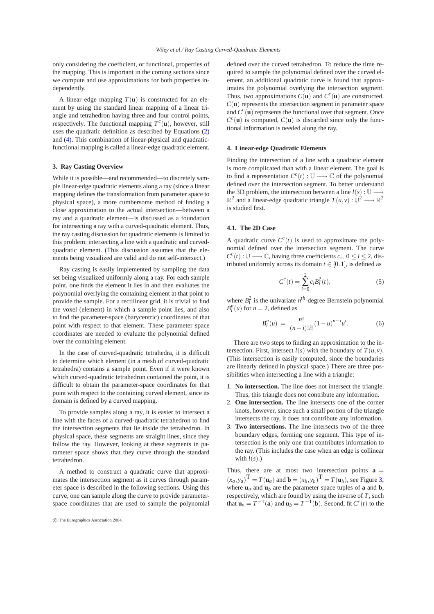<span id="page-2-1"></span>only considering the coefficient, or functional, properties of the mapping. This is important in the coming sections since we compute and use approximations for both properties independently.

A linear edge mapping  $T(\mathbf{u})$  is constructed for an element by using the standard linear mapping of a linear triangle and tetrahedron having three and four control points, respectively. The functional mapping  $T^c(\mathbf{u})$ , however, still uses the quadratic definition as described by Equations [\(2\)](#page-1-1) and [\(4\)](#page-1-2). This combination of linear-physical and quadraticfunctional mapping is called a linear-edge quadratic element.

#### **3. Ray Casting Overview**

While it is possible—and recommended—to discretely sample linear-edge quadratic elements along a ray (since a linear mapping defines the transformation from parameter space to physical space), a more cumbersome method of finding a close approximation to the actual intersection—between a ray and a quadratic element—is discussed as a foundation for intersecting a ray with a curved-quadratic element. Thus, the ray casting discussion for quadratic elements is limited to this problem: intersecting a line with a quadratic and curvedquadratic element. (This discussion assumes that the elements being visualized are valid and do not self-intersect.)

Ray casting is easily implemented by sampling the data set being visualized uniformly along a ray. For each sample point, one finds the element it lies in and then evaluates the polynomial overlying the containing element at that point to provide the sample. For a rectilinear grid, it is trivial to find the voxel (element) in which a sample point lies, and also to find the parameter-space (barycentric) coordinates of that point with respect to that element. These parameter space coordinates are needed to evaluate the polynomial defined over the containing element.

In the case of curved-quadratic tetrahedra, it is difficult to determine which element (in a mesh of curved-quadratic tetrahedra) contains a sample point. Even if it were known which curved-quadratic tetrahedron contained the point, it is difficult to obtain the parameter-space coordinates for that point with respect to the containing curved element, since its domain is defined by a curved mapping.

To provide samples along a ray, it is easier to intersect a line with the faces of a curved-quadratic tetrahedron to find the intersection segments that lie inside the tetrahedron. In physical space, these segments are straight lines, since they follow the ray. However, looking at these segments in parameter space shows that they curve through the standard tetrahedron.

A method to construct a quadratic curve that approximates the intersection segment as it curves through parameter space is described in the following sections. Using this curve, one can sample along the curve to provide parameterspace coordinates that are used to sample the polynomial

defined over the curved tetrahedron. To reduce the time required to sample the polynomial defined over the curved element, an additional quadratic curve is found that approximates the polynomial overlying the intersection segment. Thus, two approximations  $C(\mathbf{u})$  and  $C^c(\mathbf{u})$  are constructed.  $C(\mathbf{u})$  represents the intersection segment in parameter space and  $C^{c}(\mathbf{u})$  represents the functional over that segment. Once  $C<sup>c</sup>(**u**)$  is computed,  $C(**u**)$  is discarded since only the functional information is needed along the ray.

#### **4. Linear-edge Quadratic Elements**

Finding the intersection of a line with a quadratic element is more complicated than with a linear element. The goal is to find a representation  $C^c(t)$  :  $\mathbb{U} \longrightarrow \mathbb{C}$  of the polynomial defined over the intersection segment. To better understand the 3D problem, the intersection between a line  $l(s)$  :  $\mathbb{U}$  —  $\mathbb{R}^2$  and a linear-edge quadratic triangle  $T(u, v) : \dot{\mathbb{U}}^2 \longrightarrow \mathbb{R}^2$ is studied first.

## **4.1. The 2D Case**

A quadratic curve  $C^{c}(t)$  is used to approximate the polynomial defined over the intersection segment. The curve  $C^{c}(t)$ :  $\mathbb{U} \longrightarrow \mathbb{C}$ , having three coefficients  $c_i$ ,  $0 \le i \le 2$ , distributed uniformly across its domain  $t \in [0,1]$ , is defined as

$$
C^{c}(t) = \sum_{i=0}^{2} c_{i} B_{i}^{2}(t),
$$
\n(5)

<span id="page-2-0"></span>where  $B_i^2$  is the univariate  $n^{th}$ -degree Bernstein polynomial  $B_i^n(u)$  for  $n = 2$ , defined as

$$
B_i^n(u) = \frac{n!}{(n-i)!i!} (1-u)^{n-i} u^i.
$$
 (6)

There are two steps to finding an approximation to the intersection. First, intersect  $l(s)$  with the boundary of  $T(u, v)$ . (This intersection is easily computed, since the boundaries are linearly defined in physical space.) There are three possibilities when intersecting a line with a triangle:

- 1. **No intersection.** The line does not intersect the triangle. Thus, this triangle does not contribute any information.
- 2. **One intersection.** The line intersects one of the corner knots, however, since such a small portion of the triangle intersects the ray, it does not contribute any information.
- 3. **Two intersections.** The line intersects two of the three boundary edges, forming one segment. This type of intersection is the only one that contributes information to the ray. (This includes the case when an edge is collinear with  $l(s)$ .)

Thus, there are at most two intersection points  $\mathbf{a} =$  $(x_a, y_a)$ <sup>T</sup> = *T*(**u**<sub>*a*</sub>)</sub> and **b** =  $(x_b, y_b)$ <sup>T</sup> = *T*(**u**<sub>*b*</sub>), see Figure [3,](#page-3-0) where  $\mathbf{u}_a$  and  $\mathbf{u}_b$  are the parameter space tuples of **a** and **b**, respectively, which are found by using the inverse of *T*, such that  $\mathbf{u}_a = T^{-1}(\mathbf{a})$  and  $\mathbf{u}_b = T^{-1}(\mathbf{b})$ . Second, fit  $C^c(t)$  to the

c The Eurographics Association 2004.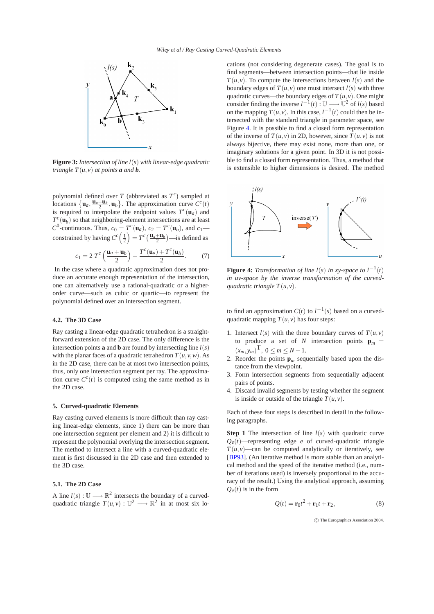

<span id="page-3-0"></span>**Figure 3:** *Intersection of line l*(*s*) *with linear-edge quadratic triangle*  $T(u, v)$  *at points a and <i>b*.

polynomial defined over *T* (abbreviated as  $T^c$ ) sampled at locations  $\{\mathbf{u}_a, \frac{\mathbf{u}_a + \mathbf{u}_b}{2}, \mathbf{u}_b\}$ . The approximation curve  $C^c(t)$ is required to interpolate the endpoint values  $T^c(\mathbf{u}_a)$  and  $T_c^c(\mathbf{u}_b)$  so that neighboring-element intersections are at least  $C^0$ -continuous. Thus,  $c_0 = T^c(\mathbf{u}_a)$ ,  $c_2 = T^c(\mathbf{u}_b)$ , and  $c_1$  constrained by having  $C^c\left(\frac{1}{2}\right) = T^c\left(\frac{\mathbf{u}_a + \mathbf{u}_b}{2}\right)$ —is defined as

$$
c_1 = 2 T^c \left( \frac{\mathbf{u}_a + \mathbf{u}_b}{2} \right) - \frac{T^c(\mathbf{u}_a) + T^c(\mathbf{u}_b)}{2}.
$$
 (7)

In the case where a quadratic approximation does not produce an accurate enough representation of the intersection, one can alternatively use a rational-quadratic or a higherorder curve—such as cubic or quartic—to represent the polynomial defined over an intersection segment.

## **4.2. The 3D Case**

Ray casting a linear-edge quadratic tetrahedron is a straightforward extension of the 2D case. The only difference is the intersection points **a** and **b** are found by intersecting line  $l(s)$ with the planar faces of a quadratic tetrahedron  $T(u, v, w)$ . As in the 2D case, there can be at most two intersection points, thus, only one intersection segment per ray. The approximation curve  $C^{c}(t)$  is computed using the same method as in the 2D case.

#### **5. Curved-quadratic Elements**

Ray casting curved elements is more difficult than ray casting linear-edge elements, since 1) there can be more than one intersection segment per element and 2) it is difficult to represent the polynomial overlying the intersection segment. The method to intersect a line with a curved-quadratic element is first discussed in the 2D case and then extended to the 3D case.

# <span id="page-3-2"></span>**5.1. The 2D Case**

A line  $l(s): \mathbb{U} \longrightarrow \mathbb{R}^2$  intersects the boundary of a curvedquadratic triangle  $T(u, v) : \mathbb{U}^2 \longrightarrow \mathbb{R}^2$  in at most six locations (not considering degenerate cases). The goal is to find segments—between intersection points—that lie inside  $T(u, v)$ . To compute the intersections between  $l(s)$  and the boundary edges of  $T(u, v)$  one must intersect  $l(s)$  with three quadratic curves—the boundary edges of  $T(u, v)$ . One might consider finding the inverse  $l^{-1}(t)$ :  $\mathbb{U} \longrightarrow \mathbb{U}^2$  of  $l(s)$  based on the mapping  $T(u, v)$ . In this case,  $l^{-1}(t)$  could then be intersected with the standard triangle in parameter space, see Figure [4.](#page-3-1) It is possible to find a closed form representation of the inverse of  $T(u, v)$  in 2D, however, since  $T(u, v)$  is not always bijective, there may exist none, more than one, or imaginary solutions for a given point. In 3D it is not possible to find a closed form representation. Thus, a method that is extensible to higher dimensions is desired. The method



<span id="page-3-1"></span>**Figure 4:** *Transformation of line l(s) in xy-space to*  $l^{-1}(t)$ *in uv-space by the inverse transformation of the curvedguadratic triangle*  $T(u, v)$ *.* 

to find an approximation  $C(t)$  to  $l^{-1}(s)$  based on a curvedquadratic mapping  $T(u, v)$  has four steps:

- 1. Intersect  $l(s)$  with the three boundary curves of  $T(u, v)$ to produce a set of *N* intersection points  $\mathbf{p}_m =$  $(x_m, y_m)$ <sup>T</sup>, 0 ≤ *m* ≤ *N* − 1.
- 2. Reorder the points  $\mathbf{p}_m$  sequentially based upon the distance from the viewpoint.
- 3. Form intersection segments from sequentially adjacent pairs of points.
- 4. Discard invalid segments by testing whether the segment is inside or outside of the triangle  $T(u, v)$ .

Each of these four steps is described in detail in the following paragraphs.

**Step 1** The intersection of line  $l(s)$  with quadratic curve  $Q_e(t)$ —representing edge *e* of curved-quadratic triangle  $T(u, v)$ —can be computed analytically or iteratively, see [\[BP93\]](#page-8-6). (An iterative method is more stable than an analytical method and the speed of the iterative method (i.e., number of iterations used) is inversely proportional to the accuracy of the result.) Using the analytical approach, assuming  $Q_e(t)$  is in the form

$$
Q(t) = \mathbf{r}_0 t^2 + \mathbf{r}_1 t + \mathbf{r}_2,\tag{8}
$$

c The Eurographics Association 2004.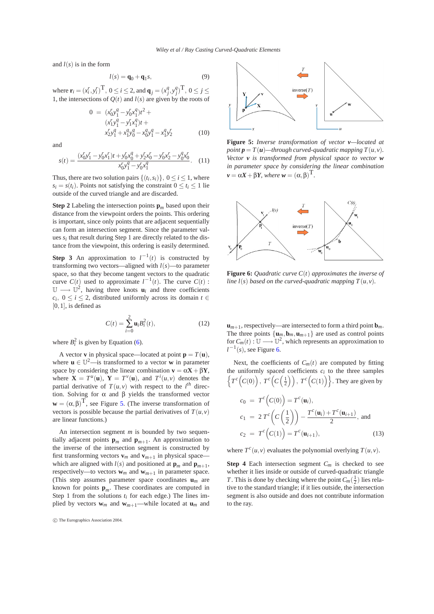and  $l(s)$  is in the form

$$
l(s) = \mathbf{q}_0 + \mathbf{q}_1 s,\tag{9}
$$

where  $\mathbf{r}_i = (x_i^r, y_i^r)^{\text{T}}, 0 \le i \le 2$ , and  $\mathbf{q}_j = (x_j^q, y_j^q)^{\text{T}}, 0 \le j \le n$ 1, the intersections of  $Q(t)$  and  $l(s)$  are given by the roots of

$$
0 = (x_0' y_1^q - y_0' x_1^q) t^2 + (x_1' y_1^q - y_1' x_1^q) t +
$$
  
\n
$$
x_2' y_1^q + x_1^q y_0^q - x_0^q y_1^q - x_1^q y_2^r
$$
 (10)

and

$$
s(t) = \frac{(x_0' y_1' - y_0' x_1')t + y_0' x_0^q + y_2' x_0' - y_0' x_2' - y_0^q x_0'}{x_0' y_1^q - y_0' x_1^q}.
$$
 (11)

Thus, there are two solution pairs  $\{(t_i, s_i)\}, 0 \le i \le 1$ , where  $s_i = s(t_i)$ . Points not satisfying the constraint  $0 \le t_i \le 1$  lie outside of the curved triangle and are discarded.

**Step 2** Labeling the intersection points  $\mathbf{p}_m$  based upon their distance from the viewpoint orders the points. This ordering is important, since only points that are adjacent sequentially can form an intersection segment. Since the parameter values  $s_i$  that result during Step 1 are directly related to the distance from the viewpoint, this ordering is easily determined.

**Step 3** An approximation to  $l^{-1}(t)$  is constructed by transforming two vectors—aligned with  $l(s)$ —to parameter space, so that they become tangent vectors to the quadratic curve  $C(t)$  used to approximate  $l^{-1}(t)$ . The curve  $C(t)$ :  $\mathbb{U} \longrightarrow \mathbb{U}^2$ , having three knots  $\mathbf{u}_i$  and three coefficients *c<sub>i</sub>*, 0 ≤ *i* ≤ 2, distributed uniformly across its domain *t* ∈ [0*,*1], is defined as

$$
C(t) = \sum_{i=0}^{2} \mathbf{u}_{i} B_{i}^{2}(t),
$$
 (12)

where  $B_i^2$  is given by Equation [\(6\)](#page-2-0).

A vector **v** in physical space—located at point  $\mathbf{p} = T(\mathbf{u})$ , where  $\mathbf{u} \in \mathbb{U}^2$ —is transformed to a vector **w** in parameter space by considering the linear combination  $\mathbf{v} = \alpha \mathbf{X} + \beta \mathbf{Y}$ , where  $\mathbf{X} = T^u(\mathbf{u}), \mathbf{Y} = T^v(\mathbf{u}),$  and  $T^i(u, v)$  denotes the partial derivative of  $T(u, v)$  with respect to the *i*<sup>th</sup> direction. Solving for α and β yields the transformed vector  $\mathbf{w} = (\alpha, \beta)^{\mathrm{T}}$ , see Figure [5.](#page-4-0) (The inverse transformation of vectors is possible because the partial derivatives of  $T(u, v)$ are linear functions.)

An intersection segment *m* is bounded by two sequentially adjacent points  $\mathbf{p}_m$  and  $\mathbf{p}_{m+1}$ . An approximation to the inverse of the intersection segment is constructed by first transforming vectors  $\mathbf{v}_m$  and  $\mathbf{v}_{m+1}$  in physical space which are aligned with  $l(s)$  and positioned at  $\mathbf{p}_m$  and  $\mathbf{p}_{m+1}$ , respectively—to vectors  $w_m$  and  $w_{m+1}$  in parameter space. (This step assumes parameter space coordinates **u***m* are known for points **p***m*. These coordinates are computed in Step 1 from the solutions  $t_i$  for each edge.) The lines implied by vectors  $\mathbf{w}_m$  and  $\mathbf{w}_{m+1}$ —while located at  $\mathbf{u}_m$  and





<span id="page-4-0"></span>**Figure 5:** *Inverse transformation of vector v—located at point*  $p = T(u)$ —through curved-quadratic mapping  $T(u, v)$ . *Vector v is transformed from physical space to vector w in parameter space by considering the linear combination*  $\nu = \alpha X + \beta Y$ *, where*  $\omega = (\alpha, \beta)^T$ *.* 



<span id="page-4-1"></span>**Figure 6:** *Quadratic curve C*(*t*) *approximates the inverse of line l(s) based on the curved-quadratic mapping*  $T(u, v)$ *.* 

 $\mathbf{u}_{m+1}$ , respectively—are intersected to form a third point  $\mathbf{b}_m$ . The three points  $\{\mathbf{u}_m, \mathbf{b}_m, \mathbf{u}_{m+1}\}$  are used as control points for  $C_m(t): \mathbb{U} \longrightarrow \mathbb{U}^2$ , which represents an approximation to  $l^{-1}(s)$ , see Figure [6.](#page-4-1)

Next, the coefficients of  $C_m(t)$  are computed by fitting the uniformly spaced coefficients  $c_i$  to the three samples  $\left\{T^c\left(C(0)\right), T^c\left(C\left(\frac{1}{2}\right)\right), T^c\left(C(1)\right)\right\}$ . They are given by

$$
c_0 = T^c(C(0)) = T^c(\mathbf{u}_i),
$$
  
\n
$$
c_1 = 2 T^c\left(C\left(\frac{1}{2}\right)\right) - \frac{T^c(\mathbf{u}_i) + T^c(\mathbf{u}_{i+1})}{2}, \text{ and}
$$
  
\n
$$
c_2 = T^c\left(C(1)\right) = T^c(\mathbf{u}_{i+1}), \tag{13}
$$

where  $T^{c}(u, v)$  evaluates the polynomial overlying  $T(u, v)$ .

**Step 4** Each intersection segment  $C_m$  is checked to see whether it lies inside or outside of curved-quadratic triangle *T*. This is done by checking where the point  $C_m(\frac{1}{2})$  lies relative to the standard triangle; if it lies outside, the intersection segment is also outside and does not contribute information to the ray.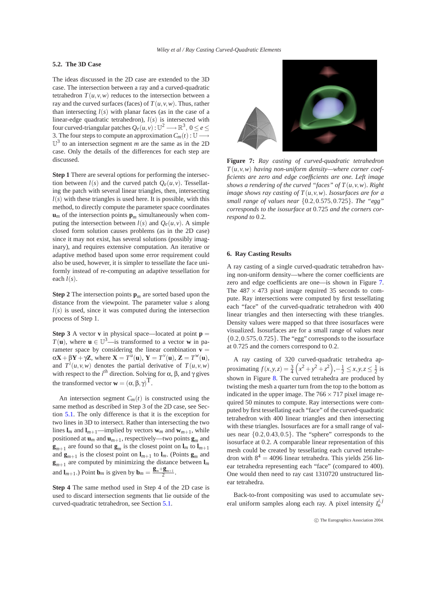## <span id="page-5-1"></span>**5.2. The 3D Case**

The ideas discussed in the 2D case are extended to the 3D case. The intersection between a ray and a curved-quadratic tetrahedron  $T(u, v, w)$  reduces to the intersection between a ray and the curved surfaces (faces) of  $T(u, v, w)$ . Thus, rather than intersecting  $l(s)$  with planar faces (as in the case of a linear-edge quadratic tetrahedron), *l*(*s*) is intersected with four curved-triangular patches  $Q_e(u, v): \mathbb{U}^2 \longrightarrow \mathbb{R}^3$ ,  $0 \leq e \leq$ 3. The four steps to compute an approximation  $C_m(t): \mathbb{U} \longrightarrow$  $\mathbb{U}^3$  to an intersection segment *m* are the same as in the 2D case. Only the details of the differences for each step are discussed.

**Step 1** There are several options for performing the intersection between  $l(s)$  and the curved patch  $Q_e(u, v)$ . Tessellating the patch with several linear triangles, then, intersecting  $l(s)$  with these triangles is used here. It is possible, with this method, to directly compute the parameter space coordinates  $\mathbf{u}_m$  of the intersection points  $\mathbf{p}_m$  simultaneously when computing the intersection between  $l(s)$  and  $Q_e(u, v)$ . A simple closed form solution causes problems (as in the 2D case) since it may not exist, has several solutions (possibly imaginary), and requires extensive computation. An iterative or adaptive method based upon some error requirement could also be used, however, it is simpler to tessellate the face uniformly instead of re-computing an adaptive tessellation for each  $l(s)$ .

**Step 2** The intersection points  $\mathbf{p}_m$  are sorted based upon the distance from the viewpoint. The parameter value *s* along  $l(s)$  is used, since it was computed during the intersection process of Step 1.

**Step 3** A vector **v** in physical space—located at point  $p =$ *T*(**u**), where **u**  $\in \mathbb{U}^3$ —is transformed to a vector **w** in parameter space by considering the linear combination  $\mathbf{v} =$  $\alpha \mathbf{X} + \beta \mathbf{Y} + \gamma \mathbf{Z}$ , where  $\mathbf{X} = T^{\mu}(\mathbf{u}), \mathbf{Y} = T^{\nu}(\mathbf{u}), \mathbf{Z} = T^{\nu}(\mathbf{u}),$ and  $T^i(u, v, w)$  denotes the partial derivative of  $T(u, v, w)$ with respect to the *i*<sup>th</sup> direction. Solving for α, β, and γ gives the transformed vector  $\mathbf{w} = (\alpha, \beta, \gamma)^{\mathrm{T}}$ .

An intersection segment  $C_m(t)$  is constructed using the same method as described in Step 3 of the 2D case, see Section [5.1.](#page-3-2) The only difference is that it is the exception for two lines in 3D to intersect. Rather than intersecting the two lines  $\mathbf{l}_m$  and  $\mathbf{l}_{m+1}$ —implied by vectors  $\mathbf{w}_m$  and  $\mathbf{w}_{m+1}$ , while positioned at  $\mathbf{u}_m$  and  $\mathbf{u}_{m+1}$ , respectively—two points  $\mathbf{g}_m$  and  $\mathbf{g}_{m+1}$  are found so that  $\mathbf{g}_m$  is the closest point on  $\mathbf{l}_m$  to  $\mathbf{l}_{m+1}$ and  $\mathbf{g}_{m+1}$  is the closest point on  $\mathbf{l}_{m+1}$  to  $\mathbf{l}_m$ . (Points  $\mathbf{g}_m$  and  $\mathbf{g}_{m+1}$  are computed by minimizing the distance between  $\mathbf{l}_m$ and  $\mathbf{l}_{m+1}$ .) Point  $\mathbf{b}_m$  is given by  $\mathbf{b}_m = \frac{\mathbf{g}_m + \mathbf{g}_{m+1}}{2}$ .

**Step 4** The same method used in Step 4 of the 2D case is used to discard intersection segments that lie outside of the curved-quadratic tetrahedron, see Section [5.1.](#page-3-2)



**Figure 7:** *Ray casting of curved-quadratic tetrahedron*  $T(u, v, w)$  *having non-uniform density—where corner coefficients are zero and edge coefficients are one. Left image shows a rendering of the curved "faces" of*  $T(u, v, w)$ *. Right image shows ray casting of T*(*u, v,w*)*. Isosurfaces are for a small range of values near* {0*.*2*,*0*.*575*,*0*.*725}*. The "egg" corresponds to the isosurface at* 0*.*725 *and the corners correspond to* 0*.*2*.*

#### <span id="page-5-0"></span>**6. Ray Casting Results**

A ray casting of a single curved-quadratic tetrahedron having non-uniform density—where the corner coefficients are zero and edge coefficients are one—is shown in Figure [7.](#page-5-0) The  $487 \times 473$  pixel image required 35 seconds to compute. Ray intersections were computed by first tessellating each "face" of the curved-quadratic tetrahedron with 400 linear triangles and then intersecting with these triangles. Density values were mapped so that three isosurfaces were visualized. Isosurfaces are for a small range of values near {0*.*2*,*0*.*575*,*0*.*725}. The "egg" corresponds to the isosurface at 0*.*725 and the corners correspond to 0*.*2.

A ray casting of 320 curved-quadratic tetrahedra approximating  $f(x, y, z) = \frac{3}{4} \left( x^2 + y^2 + z^2 \right), -\frac{1}{2} \le x, y, z \le \frac{1}{2}$  is shown in Figure [8.](#page-6-0) The curved tetrahedra are produced by twisting the mesh a quarter turn from the top to the bottom as indicated in the upper image. The  $766 \times 717$  pixel image required 50 minutes to compute. Ray intersections were computed by first tessellating each "face" of the curved-quadratic tetrahedron with 400 linear triangles and then intersecting with these triangles. Isosurfaces are for a small range of values near {0*.*2*,*0*.*43*,*0*.*5}. The "sphere" corresponds to the isosurface at 0*.*2. A comparable linear representation of this mesh could be created by tessellating each curved tetrahedron with  $8^4 = 4096$  linear tetrahedra. This yields 256 linear tetrahedra representing each "face" (compared to 400). One would then need to ray cast 1310720 unstructured linear tetrahedra.

Back-to-front compositing was used to accumulate several uniform samples along each ray. A pixel intensity  $I_n^{i,j}$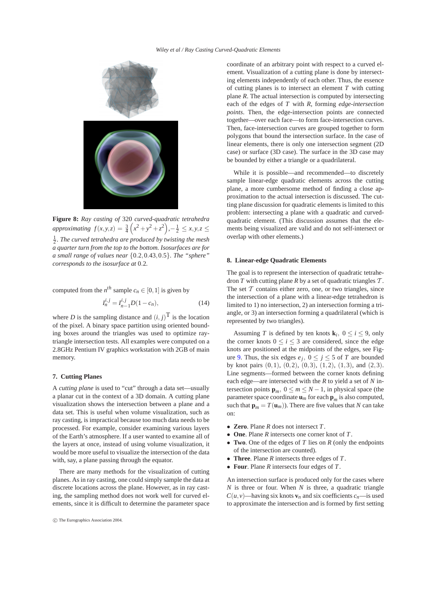

<span id="page-6-0"></span>**Figure 8:** *Ray casting of* 320 *curved-quadratic tetrahedra*  $approximating \, f(x, y, z) = \frac{3}{4} \left( x^2 + y^2 + z^2 \right), -\frac{1}{2} \le x, y, z \le$ 1 <sup>2</sup> *. The curved tetrahedra are produced by twisting the mesh a quarter turn from the top to the bottom. Isosurfaces are for a small range of values near* {0*.*2*,*0*.*43*,*0*.*5}*. The "sphere" corresponds to the isosurface at* 0*.*2*.*

computed from the 
$$
n^{th}
$$
 sample  $c_n \in [0, 1]$  is given by

$$
I_n^{i,j} = I_{n-1}^{i,j} D(1 - c_n),
$$
\n(14)

where *D* is the sampling distance and  $(i, j)^T$  is the location of the pixel. A binary space partition using oriented bounding boxes around the triangles was used to optimize raytriangle intersection tests. All examples were computed on a 2.8GHz Pentium IV graphics workstation with 2GB of main memory.

## **7. Cutting Planes**

A *cutting plane* is used to "cut" through a data set—usually a planar cut in the context of a 3D domain. A cutting plane visualization shows the intersection between a plane and a data set. This is useful when volume visualization, such as ray casting, is impractical because too much data needs to be processed. For example, consider examining various layers of the Earth's atmosphere. If a user wanted to examine all of the layers at once, instead of using volume visualization, it would be more useful to visualize the intersection of the data with, say, a plane passing through the equator.

There are many methods for the visualization of cutting planes. As in ray casting, one could simply sample the data at discrete locations across the plane. However, as in ray casting, the sampling method does not work well for curved elements, since it is difficult to determine the parameter space

coordinate of an arbitrary point with respect to a curved element. Visualization of a cutting plane is done by intersecting elements independently of each other. Thus, the essence of cutting planes is to intersect an element *T* with cutting plane *R*. The actual intersection is computed by intersecting each of the edges of *T* with *R*, forming *edge-intersection points*. Then, the edge-intersection points are connected together—over each face—to form face-intersection curves. Then, face-intersection curves are grouped together to form polygons that bound the intersection surface. In the case of linear elements, there is only one intersection segment (2D case) or surface (3D case). The surface in the 3D case may be bounded by either a triangle or a quadrilateral.

While it is possible—and recommended—to discretely sample linear-edge quadratic elements across the cutting plane, a more cumbersome method of finding a close approximation to the actual intersection is discussed. The cutting plane discussion for quadratic elements is limited to this problem: intersecting a plane with a quadratic and curvedquadratic element. (This discussion assumes that the elements being visualized are valid and do not self-intersect or overlap with other elements.)

## **8. Linear-edge Quadratic Elements**

The goal is to represent the intersection of quadratic tetrahedron  $T$  with cutting plane  $R$  by a set of quadratic triangles  $T$ . The set  $T$  contains either zero, one, or two triangles, since the intersection of a plane with a linear-edge tetrahedron is limited to 1) no intersection, 2) an intersection forming a triangle, or 3) an intersection forming a quadrilateral (which is represented by two triangles).

Assuming *T* is defined by ten knots  $\mathbf{k}_i$ ,  $0 \le i \le 9$ , only the corner knots  $0 \le i \le 3$  are considered, since the edge knots are positioned at the midpoints of the edges, see Fig-ure [9.](#page-7-0) Thus, the six edges  $e_j$ ,  $0 \le j \le 5$  of *T* are bounded by knot pairs (0*,*1), (0*,*2), (0*,*3), (1*,*2), (1*,*3), and (2*,*3). Line segments—formed between the corner knots defining each edge—are intersected with the *R* to yield a set of *N* intersection points  $\mathbf{p}_m$ ,  $0 \le m \le N - 1$ , in physical space (the parameter space coordinate  $\mathbf{u}_m$  for each  $\mathbf{p}_m$  is also computed, such that  $\mathbf{p}_m = T(\mathbf{u}_m)$ . There are five values that *N* can take on:

- **Zero**. Plane *R* does not intersect *T*.
- **One**. Plane *R* intersects one corner knot of *T*.
- **Two**. One of the edges of *T* lies on *R* (only the endpoints of the intersection are counted).
- **Three**. Plane *R* intersects three edges of *T*.
- **Four**. Plane *R* intersects four edges of *T*.

An intersection surface is produced only for the cases where *N* is three or four. When *N* is three, a quadratic triangle *C*( $u$ , $v$ )—having six knots  $v_n$  and six coefficients  $c_n$ —is used to approximate the intersection and is formed by first setting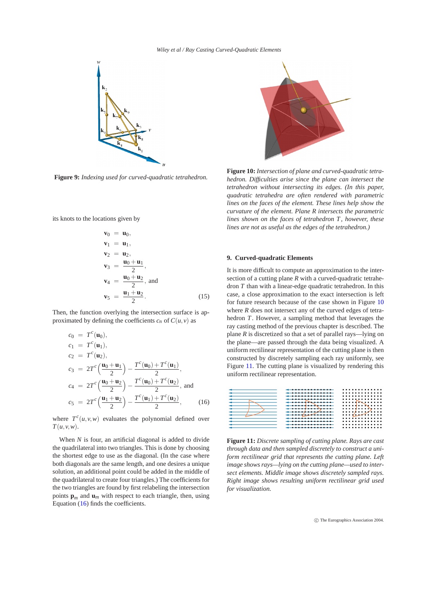

<span id="page-7-0"></span>**Figure 9:** *Indexing used for curved-quadratic tetrahedron.*

its knots to the locations given by

$$
\mathbf{v}_0 = \mathbf{u}_0,
$$
  
\n
$$
\mathbf{v}_1 = \mathbf{u}_1,
$$
  
\n
$$
\mathbf{v}_2 = \mathbf{u}_2,
$$
  
\n
$$
\mathbf{v}_3 = \frac{\mathbf{u}_0 + \mathbf{u}_1}{2},
$$
  
\n
$$
\mathbf{v}_4 = \frac{\mathbf{u}_0 + \mathbf{u}_2}{2}, \text{ and}
$$
  
\n
$$
\mathbf{v}_5 = \frac{\mathbf{u}_1 + \mathbf{u}_2}{2}.
$$
 (15)

<span id="page-7-1"></span>Then, the function overlying the intersection surface is approximated by defining the coefficients  $c_n$  of  $C(u, v)$  as

$$
c_0 = T^{c}(\mathbf{u}_0),
$$
  
\n
$$
c_1 = T^{c}(\mathbf{u}_1),
$$
  
\n
$$
c_2 = T^{c}(\mathbf{u}_2),
$$
  
\n
$$
c_3 = 2T^{c}(\frac{\mathbf{u}_0 + \mathbf{u}_1}{2}) - \frac{T^{c}(\mathbf{u}_0) + T^{c}(\mathbf{u}_1)}{2},
$$
  
\n
$$
c_4 = 2T^{c}(\frac{\mathbf{u}_0 + \mathbf{u}_2}{2}) - \frac{T^{c}(\mathbf{u}_0) + T^{c}(\mathbf{u}_2)}{2},
$$
 and  
\n
$$
c_5 = 2T^{c}(\frac{\mathbf{u}_1 + \mathbf{u}_2}{2}) - \frac{T^{c}(\mathbf{u}_1) + T^{c}(\mathbf{u}_2)}{2},
$$
 (16)

where  $T^c(u, v, w)$  evaluates the polynomial defined over *T*(*u, v,w*).

When *N* is four, an artificial diagonal is added to divide the quadrilateral into two triangles. This is done by choosing the shortest edge to use as the diagonal. (In the case where both diagonals are the same length, and one desires a unique solution, an additional point could be added in the middle of the quadrilateral to create four triangles.) The coefficients for the two triangles are found by first relabeling the intersection points  $\mathbf{p}_m$  and  $\mathbf{u}_m$  with respect to each triangle, then, using Equation [\(16\)](#page-7-1) finds the coefficients.



<span id="page-7-2"></span>**Figure 10:** *Intersection of plane and curved-quadratic tetrahedron. Difficulties arise since the plane can intersect the tetrahedron without intersecting its edges. (In this paper, quadratic tetrahedra are often rendered with parametric lines on the faces of the element. These lines help show the curvature of the element. Plane R intersects the parametric lines shown on the faces of tetrahedron T, however, these lines are not as useful as the edges of the tetrahedron.)*

# <span id="page-7-4"></span>**9. Curved-quadratic Elements**

It is more difficult to compute an approximation to the intersection of a cutting plane *R* with a curved-quadratic tetrahedron *T* than with a linear-edge quadratic tetrahedron. In this case, a close approximation to the exact intersection is left for future research because of the case shown in Figure [10](#page-7-2) where *R* does not intersect any of the curved edges of tetrahedron *T*. However, a sampling method that leverages the ray casting method of the previous chapter is described. The plane *R* is discretized so that a set of parallel rays—lying on the plane—are passed through the data being visualized. A uniform rectilinear representation of the cutting plane is then constructed by discretely sampling each ray uniformly, see Figure [11.](#page-7-3) The cutting plane is visualized by rendering this uniform rectilinear representation.

| ---------------      | . |
|----------------------|---|
| ______________       | . |
| _______________      | . |
| ----------------     | . |
| ___________          | . |
|                      |   |
|                      | . |
|                      | . |
|                      | . |
|                      |   |
| ____________________ | . |
| _____________        | . |
|                      | . |
| ___________________  | . |
|                      |   |

<span id="page-7-3"></span>**Figure 11:** *Discrete sampling of cutting plane. Rays are cast through data and then sampled discretely to construct a uniform rectilinear grid that represents the cutting plane. Left image shows rays—lying on the cutting plane—used to intersect elements. Middle image shows discretely sampled rays. Right image shows resulting uniform rectilinear grid used for visualization.*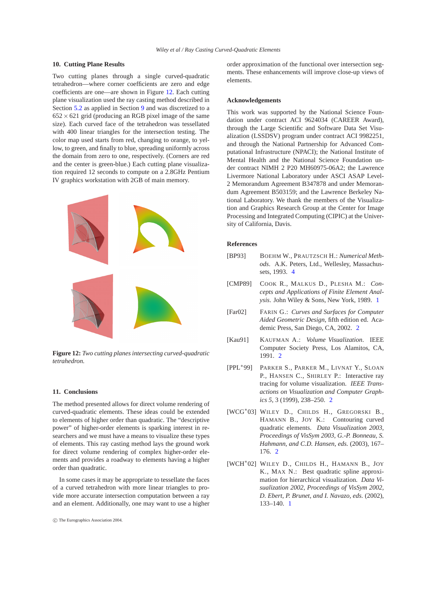## **10. Cutting Plane Results**

Two cutting planes through a single curved-quadratic tetrahedron—where corner coefficients are zero and edge coefficients are one—are shown in Figure [12.](#page-8-7) Each cutting plane visualization used the ray casting method described in Section [5.2](#page-5-1) as applied in Section [9](#page-7-4) and was discretized to a  $652 \times 621$  grid (producing an RGB pixel image of the same size). Each curved face of the tetrahedron was tessellated with 400 linear triangles for the intersection testing. The color map used starts from red, changing to orange, to yellow, to green, and finally to blue, spreading uniformly across the domain from zero to one, respectively. (Corners are red and the center is green-blue.) Each cutting plane visualization required 12 seconds to compute on a 2.8GHz Pentium IV graphics workstation with 2GB of main memory.



<span id="page-8-7"></span>**Figure 12:** *Two cutting planes intersecting curved-quadratic tetrahedron.*

## **11. Conclusions**

The method presented allows for direct volume rendering of curved-quadratic elements. These ideas could be extended to elements of higher order than quadratic. The "descriptive power" of higher-order elements is sparking interest in researchers and we must have a means to visualize these types of elements. This ray casting method lays the ground work for direct volume rendering of complex higher-order elements and provides a roadway to elements having a higher order than quadratic.

In some cases it may be appropriate to tessellate the faces of a curved tetrahedron with more linear triangles to provide more accurate intersection computation between a ray and an element. Additionally, one may want to use a higher

order approximation of the functional over intersection segments. These enhancements will improve close-up views of elements.

## **Acknowledgements**

This work was supported by the National Science Foundation under contract ACI 9624034 (CAREER Award), through the Large Scientific and Software Data Set Visualization (LSSDSV) program under contract ACI 9982251, and through the National Partnership for Advanced Computational Infrastructure (NPACI); the National Institute of Mental Health and the National Science Foundation under contract NIMH 2 P20 MH60975-06A2; the Lawrence Livermore National Laboratory under ASCI ASAP Level-2 Memorandum Agreement B347878 and under Memorandum Agreement B503159; and the Lawrence Berkeley National Laboratory. We thank the members of the Visualization and Graphics Research Group at the Center for Image Processing and Integrated Computing (CIPIC) at the University of California, Davis.

# **References**

- <span id="page-8-6"></span>[BP93] BOEHM W., PRAUTZSCH H.: *Numerical Methods*. A.K. Peters, Ltd., Wellesley, Massachussets, 1993. [4](#page-2-1)
- <span id="page-8-1"></span>[CMP89] COOK R., MALKUS D., PLESHA M.: *Concepts and Applications of Finite Element Analysis*. John Wiley & Sons, New York, 1989. [1](#page-0-1)
- <span id="page-8-5"></span>[Far02] FARIN G.: *Curves and Surfaces for Computer Aided Geometric Design*, fifth edition ed. Academic Press, San Diego, CA, 2002. [2](#page-0-1)
- <span id="page-8-3"></span>[Kau91] KAUFMAN A.: *Volume Visualization*. IEEE Computer Society Press, Los Alamitos, CA, 1991. [2](#page-0-1)
- <span id="page-8-4"></span>[PPL∗99] PARKER S., PARKER M., LIVNAT Y., SLOAN P., HANSEN C., SHIRLEY P.: Interactive ray tracing for volume visualization. *IEEE Transactions on Visualization and Computer Graphics 5*, 3 (1999), 238–250. [2](#page-0-1)
- <span id="page-8-2"></span>[WCG∗03] WILEY D., CHILDS H., GREGORSKI B., HAMANN B., JOY K.: Contouring curved quadratic elements. *Data Visualization 2003, Proceedings of VisSym 2003, G.-P. Bonneau, S. Hahmann, and C.D. Hansen, eds.* (2003), 167– 176. [2](#page-0-1)
- <span id="page-8-0"></span>[WCH∗02] WILEY D., CHILDS H., HAMANN B., JOY K., MAX N.: Best quadratic spline approximation for hierarchical visualization. *Data Visualization 2002, Proceedings of VisSym 2002, D. Ebert, P. Brunet, and I. Navazo, eds.* (2002), 133–140. [1](#page-0-1)

c The Eurographics Association 2004.